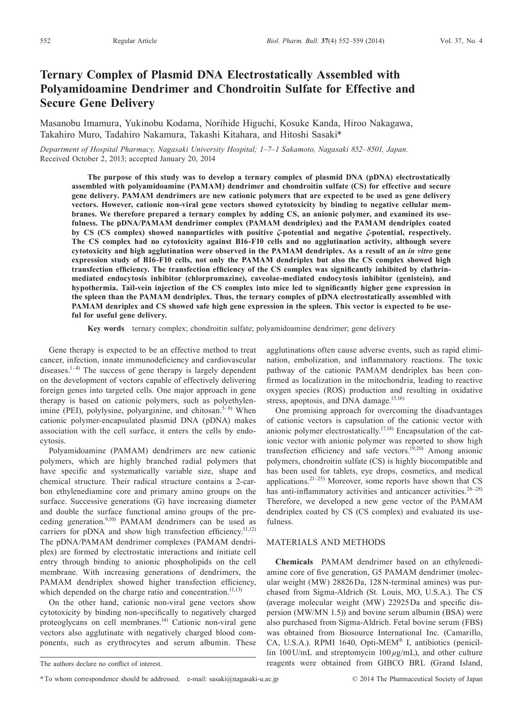# **Ternary Complex of Plasmid DNA Electrostatically Assembled with Polyamidoamine Dendrimer and Chondroitin Sulfate for Effective and Secure Gene Delivery**

Masanobu Imamura, Yukinobu Kodama, Norihide Higuchi, Kosuke Kanda, Hiroo Nakagawa, Takahiro Muro, Tadahiro Nakamura, Takashi Kitahara, and Hitoshi Sasaki\*

*Department of Hospital Pharmacy, Nagasaki University Hospital; 1–7–1 Sakamoto, Nagasaki 852–8501, Japan.* Received October 2, 2013; accepted January 20, 2014

**The purpose of this study was to develop a ternary complex of plasmid DNA (pDNA) electrostatically assembled with polyamidoamine (PAMAM) dendrimer and chondroitin sulfate (CS) for effective and secure gene delivery. PAMAM dendrimers are new cationic polymers that are expected to be used as gene delivery vectors. However, cationic non-viral gene vectors showed cytotoxicity by binding to negative cellular membranes. We therefore prepared a ternary complex by adding CS, an anionic polymer, and examined its usefulness. The pDNA/PAMAM dendrimer complex (PAMAM dendriplex) and the PAMAM dendriplex coated by CS (CS complex) showed nanoparticles with positive** *ζ***-potential and negative** *ζ***-potential, respectively. The CS complex had no cytotoxicity against B16-F10 cells and no agglutination activity, although severe cytotoxicity and high agglutination were observed in the PAMAM dendriplex. As a result of an** *in vitro* **gene expression study of B16-F10 cells, not only the PAMAM dendriplex but also the CS complex showed high transfection efficiency. The transfection efficiency of the CS complex was significantly inhibited by clathrinmediated endocytosis inhibitor (chlorpromazine), caveolae-mediated endocytosis inhibitor (genistein), and hypothermia. Tail-vein injection of the CS complex into mice led to significantly higher gene expression in the spleen than the PAMAM dendriplex. Thus, the ternary complex of pDNA electrostatically assembled with PAMAM denriplex and CS showed safe high gene expression in the spleen. This vector is expected to be useful for useful gene delivery.**

**Key words** ternary complex; chondroitin sulfate; polyamidoamine dendrimer; gene delivery

Gene therapy is expected to be an effective method to treat cancer, infection, innate immunodeficiency and cardiovascular diseases.<sup>1-4)</sup> The success of gene therapy is largely dependent on the development of vectors capable of effectively delivering foreign genes into targeted cells. One major approach in gene therapy is based on cationic polymers, such as polyethylenimine (PEI), polylysine, polyarginine, and chitosan.<sup>5-8)</sup> When cationic polymer-encapsulated plasmid DNA (pDNA) makes association with the cell surface, it enters the cells by endocytosis.

Polyamidoamine (PAMAM) dendrimers are new cationic polymers, which are highly branched radial polymers that have specific and systematically variable size, shape and chemical structure. Their radical structure contains a 2-carbon ethylenediamine core and primary amino groups on the surface. Successive generations (G) have increasing diameter and double the surface functional amino groups of the preceding generation.<sup>9,10)</sup> PAMAM dendrimers can be used as carriers for pDNA and show high transfection efficiency.<sup>11,12)</sup> The pDNA/PAMAM dendrimer complexes (PAMAM dendriplex) are formed by electrostatic interactions and initiate cell entry through binding to anionic phospholipids on the cell membrane. With increasing generations of dendrimers, the PAMAM dendriplex showed higher transfection efficiency, which depended on the charge ratio and concentration.<sup>11,13)</sup>

On the other hand, cationic non-viral gene vectors show cytotoxicity by binding non-specifically to negatively charged proteoglycans on cell membranes.<sup>14)</sup> Cationic non-viral gene vectors also agglutinate with negatively charged blood components, such as erythrocytes and serum albumin. These agglutinations often cause adverse events, such as rapid elimination, embolization, and inflammatory reactions. The toxic pathway of the cationic PAMAM dendriplex has been confirmed as localization in the mitochondria, leading to reactive oxygen species (ROS) production and resulting in oxidative stress, apoptosis, and DNA damage. $15,16$ )

One promising approach for overcoming the disadvantages of cationic vectors is capsulation of the cationic vector with anionic polymer electrostatically.<sup>17,18)</sup> Encapsulation of the cationic vector with anionic polymer was reported to show high transfection efficiency and safe vectors.<sup>19,20)</sup> Among anionic polymers, chondroitin sulfate (CS) is highly biocompatible and has been used for tablets, eye drops, cosmetics, and medical applications.21–25) Moreover, some reports have shown that CS has anti-inflammatory activities and anticancer activities.<sup>26-28)</sup> Therefore, we developed a new gene vector of the PAMAM dendriplex coated by CS (CS complex) and evaluated its usefulness.

#### MATERIALS AND METHODS

**Chemicals** PAMAM dendrimer based on an ethylenediamine core of five generation, G5 PAMAM dendrimer (molecular weight (MW) 28826 Da, 128 N-terminal amines) was purchased from Sigma-Aldrich (St. Louis, MO, U.S.A.). The CS (average molecular weight (MW) 22925 Da and specific dispersion (MW/MN 1.5)) and bovine serum albumin (BSA) were also purchased from Sigma-Aldrich. Fetal bovine serum (FBS) was obtained from Biosource International Inc. (Camarillo, CA, U.S.A.). RPMI 1640, Opti-MEM® I, antibiotics (penicillin 100 U/mL and streptomycin 100 *µ*g/mL), and other culture reagents were obtained from GIBCO BRL (Grand Island,

The authors declare no conflict of interest.

<sup>\*</sup>To whom correspondence should be addressed. e-mail: sasaki@nagasaki-u.ac.jp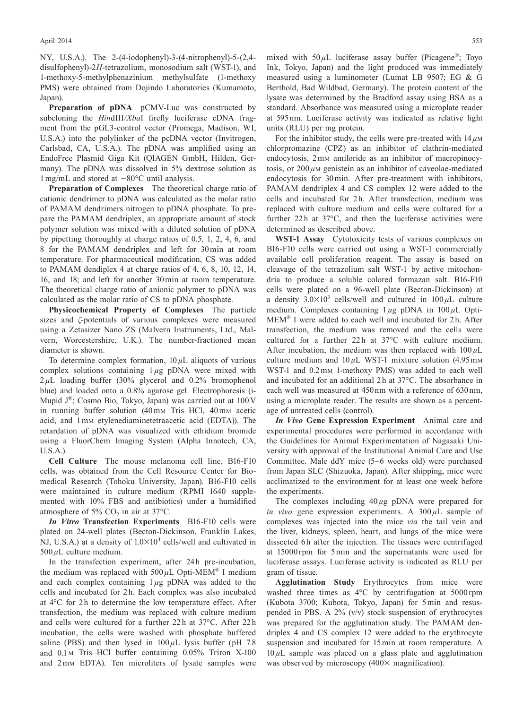#### April 2014 553

NY, U.S.A.). The 2-(4-iodophenyl)-3-(4-nitrophenyl)-5-(2,4 disulfophenyl)-2*H*-tetrazolium, monosodium salt (WST-1), and 1-methoxy-5-methylphenazinium methylsulfate (1-methoxy PMS) were obtained from Dojindo Laboratories (Kumamoto, Japan).

**Preparation of pDNA** pCMV-Luc was constructed by subcloning the *HindIII/XbaI* firefly luciferase cDNA fragment from the pGL3-control vector (Promega, Madison, WI, U.S.A.) into the polylinker of the pcDNA vector (Invitrogen, Carlsbad, CA, U.S.A.). The pDNA was amplified using an EndoFree Plasmid Giga Kit (QIAGEN GmbH, Hilden, Germany). The pDNA was dissolved in 5% dextrose solution as 1 mg/mL and stored at −80°C until analysis.

**Preparation of Complexes** The theoretical charge ratio of cationic dendrimer to pDNA was calculated as the molar ratio of PAMAM dendrimers nitrogen to pDNA phosphate. To prepare the PAMAM dendriplex, an appropriate amount of stock polymer solution was mixed with a diluted solution of pDNA by pipetting thoroughly at charge ratios of 0.5, 1, 2, 4, 6, and 8 for the PAMAM dendriplex and left for 30 min at room temperature. For pharmaceutical modification, CS was added to PAMAM dendiplex 4 at charge ratios of 4, 6, 8, 10, 12, 14, 16, and 18; and left for another 30 min at room temperature. The theoretical charge ratio of anionic polymer to pDNA was calculated as the molar ratio of CS to pDNA phosphate.

**Physicochemical Property of Complexes** The particle sizes and *ζ*-potentials of various complexes were measured using a Zetasizer Nano ZS (Malvern Instruments, Ltd., Malvern, Worcestershire, U.K.). The number-fractioned mean diameter is shown.

To determine complex formation,  $10 \mu L$  aliquots of various complex solutions containing 1 *µ*g pDNA were mixed with 2 *µ*L loading buffer (30% glycerol and 0.2% bromophenol blue) and loaded onto a 0.8% agarose gel. Electrophoresis (i-Mupid J®; Cosmo Bio, Tokyo, Japan) was carried out at 100 V in running buffer solution (40mm Tris–HCl, 40mm acetic acid, and 1 mm etylenediaminetetraacetic acid (EDTA)). The retardation of pDNA was visualized with ethidium bromide using a FluorChem Imaging System (Alpha Innotech, CA, U.S.A.).

**Cell Culture** The mouse melanoma cell line, B16-F10 cells, was obtained from the Cell Resource Center for Biomedical Research (Tohoku University, Japan). B16-F10 cells were maintained in culture medium (RPMI 1640 supplemented with 10% FBS and antibiotics) under a humidified atmosphere of 5%  $CO<sub>2</sub>$  in air at 37 $^{\circ}$ C.

*In Vitro* **Transfection Experiments** B16-F10 cells were plated on 24-well plates (Becton-Dickinson, Franklin Lakes, NJ, U.S.A.) at a density of  $1.0 \times 10^4$  cells/well and cultivated in  $500 \mu L$  culture medium.

In the transfection experiment, after 24h pre-incubation, the medium was replaced with  $500 \mu L$  Opti-MEM<sup>®</sup> I medium and each complex containing 1 *µ*g pDNA was added to the cells and incubated for 2h. Each complex was also incubated at  $4^{\circ}$ C for 2h to determine the low temperature effect. After transfection, the medium was replaced with culture medium and cells were cultured for a further 22 h at 37°C. After 22 h incubation, the cells were washed with phosphate buffered saline (PBS) and then lysed in  $100 \mu L$  lysis buffer (pH 7.8) and 0.1 M Tris–HCl buffer containing 0.05% Triron X-100 and 2 mm EDTA). Ten microliters of lysate samples were

mixed with  $50 \mu L$  luciferase assay buffer (Picagene<sup>®</sup>; Toyo Ink, Tokyo, Japan) and the light produced was immediately measured using a luminometer (Lumat LB 9507; EG & G Berthold, Bad Wildbad, Germany). The protein content of the lysate was determined by the Bradford assay using BSA as a standard. Absorbance was measured using a microplate reader at 595 nm. Luciferase activity was indicated as relative light units (RLU) per mg protein.

For the inhibitor study, the cells were pre-treated with  $14 \mu M$ chlorpromazine (CPZ) as an inhibitor of clathrin-mediated endocytosis, 2 mm amiloride as an inhibitor of macropinocytosis, or  $200 \mu$ M genistein as an inhibitor of caveolae-mediated endocytosis for 30 min. After pre-treatment with inhibitors, PAMAM dendriplex 4 and CS complex 12 were added to the cells and incubated for 2h. After transfection, medium was replaced with culture medium and cells were cultured for a further  $22h$  at  $37^{\circ}$ C, and then the luciferase activities were determined as described above.

**WST-1 Assay** Cytotoxicity tests of various complexes on B16-F10 cells were carried out using a WST-1 commercially available cell proliferation reagent. The assay is based on cleavage of the tetrazolium salt WST-1 by active mitochondria to produce a soluble colored formazan salt. B16-F10 cells were plated on a 96-well plate (Becton-Dickinson) at a density  $3.0 \times 10^3$  cells/well and cultured in  $100 \mu L$  culture medium. Complexes containing 1 *µ*g pDNA in 100 *µ*L Opti-MEM® I were added to each well and incubated for 2h. After transfection, the medium was removed and the cells were cultured for a further  $22h$  at  $37^{\circ}$ C with culture medium. After incubation, the medium was then replaced with  $100 \mu L$ culture medium and  $10 \mu L$  WST-1 mixture solution (4.95 mm) WST-1 and  $0.2 \text{mm}$  1-methoxy PMS) was added to each well and incubated for an additional 2 h at 37°C. The absorbance in each well was measured at 450 nm with a reference of 630 nm, using a microplate reader. The results are shown as a percentage of untreated cells (control).

*In Vivo* **Gene Expression Experiment** Animal care and experimental procedures were performed in accordance with the Guidelines for Animal Experimentation of Nagasaki University with approval of the Institutional Animal Care and Use Committee. Male ddY mice (5–6 weeks old) were purchased from Japan SLC (Shizuoka, Japan). After shipping, mice were acclimatized to the environment for at least one week before the experiments.

The complexes including  $40 \mu$ g pDNA were prepared for *in vivo* gene expression experiments. A  $300 \mu L$  sample of complexes was injected into the mice *via* the tail vein and the liver, kidneys, spleen, heart, and lungs of the mice were dissected 6h after the injection. The tissues were centrifuged at 15000 rpm for 5 min and the supernatants were used for luciferase assays. Luciferase activity is indicated as RLU per gram of tissue.

**Agglutination Study** Erythrocytes from mice were washed three times as 4°C by centrifugation at 5000 rpm (Kubota 3700; Kubota, Tokyo, Japan) for 5 min and resuspended in PBS. A 2% (v/v) stock suspension of erythrocytes was prepared for the agglutination study. The PAMAM dendriplex 4 and CS complex 12 were added to the erythrocyte suspension and incubated for 15 min at room temperature. A  $10 \mu L$  sample was placed on a glass plate and agglutination was observed by microscopy (400× magnification).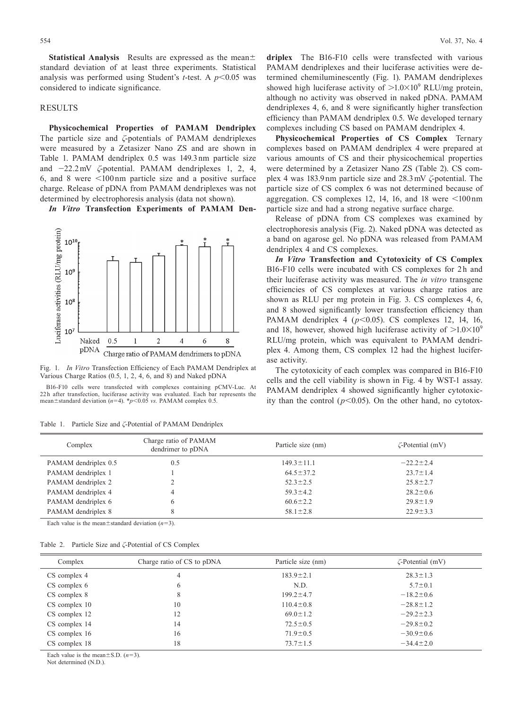**Statistical Analysis** Results are expressed as the mean± standard deviation of at least three experiments. Statistical analysis was performed using Student's *t*-test. A *p*<0.05 was considered to indicate significance.

### RESULTS

**Physicochemical Properties of PAMAM Dendriplex** The particle size and *ζ*-potentials of PAMAM dendriplexes were measured by a Zetasizer Nano ZS and are shown in Table 1. PAMAM dendriplex 0.5 was 149.3 nm particle size and −22.2 mV *ζ*-potential. PAMAM dendriplexes 1, 2, 4, 6, and 8 were <100 nm particle size and a positive surface charge. Release of pDNA from PAMAM dendriplexes was not determined by electrophoresis analysis (data not shown).

*In Vitro* **Transfection Experiments of PAMAM Den-**





B16-F10 cells were transfected with complexes containing pCMV-Luc. At 22 h after transfection, luciferase activity was evaluated. Each bar represents the mean±standard deviation (*n*=4). \**p*<0.05 *vs.* PAMAM complex 0.5.

| Table 1. |  | Particle Size and $\zeta$ -Potential of PAMAM Dendriplex |  |  |
|----------|--|----------------------------------------------------------|--|--|
|----------|--|----------------------------------------------------------|--|--|

554 Vol. 37, No. 4

**driplex** The B16-F10 cells were transfected with various PAMAM dendriplexes and their luciferase activities were determined chemiluminescently (Fig. 1). PAMAM dendriplexes showed high luciferase activity of  $>1.0 \times 10^9$  RLU/mg protein, although no activity was observed in naked pDNA. PAMAM dendriplexes 4, 6, and 8 were significantly higher transfection efficiency than PAMAM dendriplex 0.5. We developed ternary complexes including CS based on PAMAM dendriplex 4.

**Physicochemical Properties of CS Complex** Ternary complexes based on PAMAM dendriplex 4 were prepared at various amounts of CS and their physicochemical properties were determined by a Zetasizer Nano ZS (Table 2). CS complex 4 was 183.9 nm particle size and 28.3 mV *ζ*-potential. The particle size of CS complex 6 was not determined because of aggregation. CS complexes 12, 14, 16, and 18 were <100 nm particle size and had a strong negative surface charge.

Release of pDNA from CS complexes was examined by electrophoresis analysis (Fig. 2). Naked pDNA was detected as a band on agarose gel. No pDNA was released from PAMAM dendriplex 4 and CS complexes.

*In Vitro* **Transfection and Cytotoxicity of CS Complex** B16-F10 cells were incubated with CS complexes for 2h and their luciferase activity was measured. The *in vitro* transgene efficiencies of CS complexes at various charge ratios are shown as RLU per mg protein in Fig. 3. CS complexes 4, 6, and 8 showed significantly lower transfection efficiency than PAMAM dendriplex 4 ( $p$ <0.05). CS complexes 12, 14, 16, and 18, however, showed high luciferase activity of  $>1.0\times10^{9}$ RLU/mg protein, which was equivalent to PAMAM dendriplex 4. Among them, CS complex 12 had the highest luciferase activity.

The cytotoxicity of each complex was compared in B16-F10 cells and the cell viability is shown in Fig. 4 by WST-1 assay. PAMAM dendriplex 4 showed significantly higher cytotoxicity than the control  $(p<0.05)$ . On the other hand, no cytotox-

| Complex              | Charge ratio of PAMAM<br>dendrimer to pDNA | Particle size (nm) | $\zeta$ -Potential (mV) |
|----------------------|--------------------------------------------|--------------------|-------------------------|
| PAMAM dendriplex 0.5 | 0.5                                        | $149.3 \pm 11.1$   | $-22.2 \pm 2.4$         |
| PAMAM dendriplex 1   |                                            | $64.5 \pm 37.2$    | $23.7 \pm 1.4$          |
| PAMAM dendriplex 2   |                                            | $52.3 \pm 2.5$     | $25.8 \pm 2.7$          |
| PAMAM dendriplex 4   | 4                                          | $59.3 \pm 4.2$     | $28.2 \pm 0.6$          |
| PAMAM dendriplex 6   | 6                                          | $60.6 \pm 2.2$     | $29.8 \pm 1.9$          |
| PAMAM dendriplex 8   | 8                                          | $58.1 \pm 2.8$     | $22.9 \pm 3.3$          |

Each value is the mean $\pm$ standard deviation (*n*=3).

|  |  |  |  | Table 2. Particle Size and $\zeta$ -Potential of CS Complex |  |  |  |  |
|--|--|--|--|-------------------------------------------------------------|--|--|--|--|
|--|--|--|--|-------------------------------------------------------------|--|--|--|--|

| Complex       | Charge ratio of CS to pDNA | Particle size (nm) | $\zeta$ -Potential (mV) |
|---------------|----------------------------|--------------------|-------------------------|
| CS complex 4  | 4                          | $183.9 \pm 2.1$    | $28.3 \pm 1.3$          |
| CS complex 6  | $\mathfrak b$              | N.D.               | $5.7 \pm 0.1$           |
| CS complex 8  | 8                          | $199.2 \pm 4.7$    | $-18.2 \pm 0.6$         |
| CS complex 10 | 10                         | $110.4 \pm 0.8$    | $-28.8 \pm 1.2$         |
| CS complex 12 | 12                         | $69.0 \pm 1.2$     | $-29.2 \pm 2.3$         |
| CS complex 14 | 14                         | $72.5 \pm 0.5$     | $-29.8 \pm 0.2$         |
| CS complex 16 | 16                         | $71.9 \pm 0.5$     | $-30.9 \pm 0.6$         |
| CS complex 18 | 18                         | $73.7 \pm 1.5$     | $-34.4 \pm 2.0$         |

Each value is the mean $\pm$ S.D.  $(n=3)$ .

Not determined (N.D.).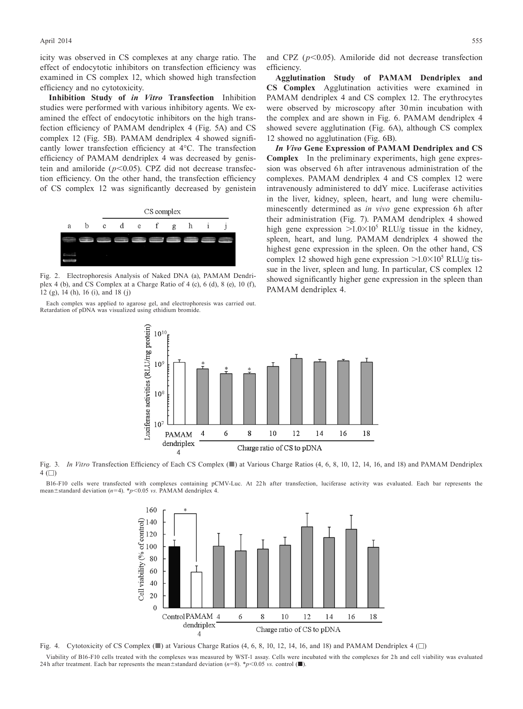icity was observed in CS complexes at any charge ratio. The effect of endocytotic inhibitors on transfection efficiency was examined in CS complex 12, which showed high transfection efficiency and no cytotoxicity.

**Inhibition Study of** *in Vitro* **Transfection** Inhibition studies were performed with various inhibitory agents. We examined the effect of endocytotic inhibitors on the high transfection efficiency of PAMAM dendriplex 4 (Fig. 5A) and CS complex 12 (Fig. 5B). PAMAM dendriplex 4 showed significantly lower transfection efficiency at 4°C. The transfection efficiency of PAMAM dendriplex 4 was decreased by genistein and amiloride (*p*<0.05). CPZ did not decrease transfection efficiency. On the other hand, the transfection efficiency of CS complex 12 was significantly decreased by genistein



Fig. 2. Electrophoresis Analysis of Naked DNA (a), PAMAM Dendriplex 4 (b), and CS Complex at a Charge Ratio of 4 (c), 6 (d), 8 (e), 10 (f), 12 (g), 14 (h), 16 (i), and 18 (j)

Each complex was applied to agarose gel, and electrophoresis was carried out. Retardation of pDNA was visualized using ethidium bromide.

and CPZ  $(p<0.05)$ . Amiloride did not decrease transfection efficiency.

**Agglutination Study of PAMAM Dendriplex and CS Complex** Agglutination activities were examined in PAMAM dendriplex 4 and CS complex 12. The erythrocytes were observed by microscopy after 30 min incubation with the complex and are shown in Fig. 6. PAMAM dendriplex 4 showed severe agglutination (Fig. 6A), although CS complex 12 showed no agglutination (Fig. 6B).

*In Vivo* **Gene Expression of PAMAM Dendriplex and CS Complex** In the preliminary experiments, high gene expression was observed 6h after intravenous administration of the complexes. PAMAM dendriplex 4 and CS complex 12 were intravenously administered to ddY mice. Luciferase activities in the liver, kidney, spleen, heart, and lung were chemiluminescently determined as *in vivo* gene expression 6h after their administration (Fig. 7). PAMAM dendriplex 4 showed high gene expression  $>1.0\times10^5$  RLU/g tissue in the kidney, spleen, heart, and lung. PAMAM dendriplex 4 showed the highest gene expression in the spleen. On the other hand, CS complex 12 showed high gene expression  $>1.0 \times 10^5$  RLU/g tissue in the liver, spleen and lung. In particular, CS complex 12 showed significantly higher gene expression in the spleen than PAMAM dendriplex 4.



Fig. 3. *In Vitro* Transfection Efficiency of Each CS Complex (■) at Various Charge Ratios (4, 6, 8, 10, 12, 14, 16, and 18) and PAMAM Dendriplex  $4$  ( $\Box$ )

B16-F10 cells were transfected with complexes containing pCMV-Luc. At 22h after transfection, luciferase activity was evaluated. Each bar represents the mean±standard deviation (*n*=4). \**p*<0.05 *vs.* PAMAM dendriplex 4.



Fig. 4. Cytotoxicity of CS Complex  $(\blacksquare)$  at Various Charge Ratios (4, 6, 8, 10, 12, 14, 16, and 18) and PAMAM Dendriplex 4  $(\square)$ 

Viability of B16-F10 cells treated with the complexes was measured by WST-1 assay. Cells were incubated with the complexes for 2 h and cell viability was evaluated 24h after treatment. Each bar represents the mean $\pm$ standard deviation ( $n=8$ ). \* $p<0.05$  *vs.* control (■).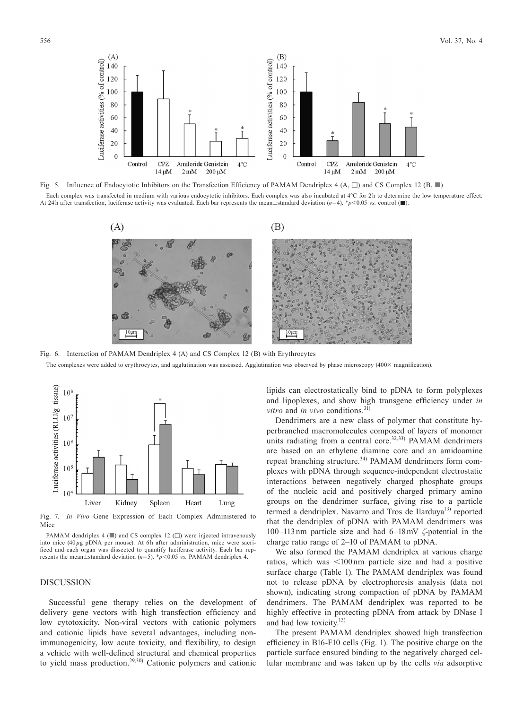

Fig. 5. Influence of Endocytotic Inhibitors on the Transfection Efficiency of PAMAM Dendriplex 4 (A, □) and CS Complex 12 (B, ■) Each complex was transfected in medium with various endocytotic inhibitors. Each complex was also incubated at 4°C for 2 h to determine the low temperature effect. At 24h after transfection, luciferase activity was evaluated. Each bar represents the mean±standard deviation  $(n=4)$ . \**p*<0.05 *vs.* control (■)



Fig. 6. Interaction of PAMAM Dendriplex 4 (A) and CS Complex 12 (B) with Erythrocytes The complexes were added to erythrocytes, and agglutination was assessed. Agglutination was observed by phase microscopy (400× magnification).



Fig. 7. *In Vivo* Gene Expression of Each Complex Administered to Mice

PAMAM dendriplex 4 (■) and CS complex 12 (□) were injected intravenously into mice  $(40 \mu g$  pDNA per mouse). At 6h after administration, mice were sacrificed and each organ was dissected to quantify luciferase activity. Each bar represents the mean±standard deviation (*n*=5). \**p*<0.05 *vs.* PAMAM dendriplex 4.

## DISCUSSION

Successful gene therapy relies on the development of delivery gene vectors with high transfection efficiency and low cytotoxicity. Non-viral vectors with cationic polymers and cationic lipids have several advantages, including nonimmunogenicity, low acute toxicity, and flexibility, to design a vehicle with well-defined structural and chemical properties to yield mass production.29,30) Cationic polymers and cationic

lipids can electrostatically bind to pDNA to form polyplexes and lipoplexes, and show high transgene efficiency under *in vitro* and *in vivo* conditions.31)

Dendrimers are a new class of polymer that constitute hyperbranched macromolecules composed of layers of monomer units radiating from a central core.<sup>32,33)</sup> PAMAM dendrimers are based on an ethylene diamine core and an amidoamine repeat branching structure.<sup>34)</sup> PAMAM dendrimers form complexes with pDNA through sequence-independent electrostatic interactions between negatively charged phosphate groups of the nucleic acid and positively charged primary amino groups on the dendrimer surface, giving rise to a particle termed a dendriplex. Navarro and Tros de Ilarduya<sup>13)</sup> reported that the dendriplex of pDNA with PAMAM dendrimers was 100–113 nm particle size and had 6–18 mV *ζ*-potential in the charge ratio range of 2–10 of PAMAM to pDNA.

We also formed the PAMAM dendriplex at various charge ratios, which was <100 nm particle size and had a positive surface charge (Table 1). The PAMAM dendriplex was found not to release pDNA by electrophoresis analysis (data not shown), indicating strong compaction of pDNA by PAMAM dendrimers. The PAMAM dendriplex was reported to be highly effective in protecting pDNA from attack by DNase I and had low toxicity.<sup>13)</sup>

The present PAMAM dendriplex showed high transfection efficiency in B16-F10 cells (Fig. 1). The positive charge on the particle surface ensured binding to the negatively charged cellular membrane and was taken up by the cells *via* adsorptive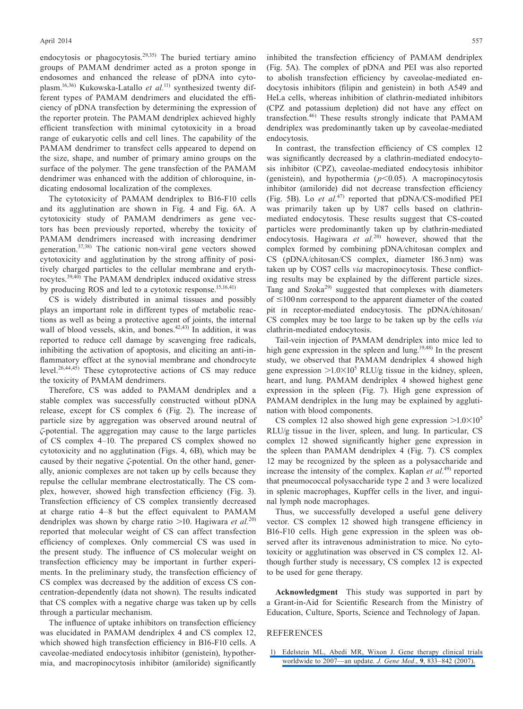endocytosis or phagocytosis.<sup>29,35)</sup> The buried tertiary amino groups of PAMAM dendrimer acted as a proton sponge in endosomes and enhanced the release of pDNA into cytoplasm.16,36) Kukowska-Latallo *et al.*11) synthesized twenty different types of PAMAM dendrimers and elucidated the efficiency of pDNA transfection by determining the expression of the reporter protein. The PAMAM dendriplex achieved highly efficient transfection with minimal cytotoxicity in a broad range of eukaryotic cells and cell lines. The capability of the PAMAM dendrimer to transfect cells appeared to depend on the size, shape, and number of primary amino groups on the surface of the polymer. The gene transfection of the PAMAM dendrimer was enhanced with the addition of chloroquine, indicating endosomal localization of the complexes.

The cytotoxicity of PAMAM dendriplex to B16-F10 cells and its agglutination are shown in Fig. 4 and Fig. 6A. A cytotoxicity study of PAMAM dendrimers as gene vectors has been previously reported, whereby the toxicity of PAMAM dendrimers increased with increasing dendrimer generation.37,38) The cationic non-viral gene vectors showed cytotoxicity and agglutination by the strong affinity of positively charged particles to the cellular membrane and erythrocytes.39,40) The PAMAM dendriplex induced oxidative stress by producing ROS and led to a cytotoxic response.<sup>15,16,41)</sup>

CS is widely distributed in animal tissues and possibly plays an important role in different types of metabolic reactions as well as being a protective agent of joints, the internal wall of blood vessels, skin, and bones. $42,43$ ) In addition, it was reported to reduce cell damage by scavenging free radicals, inhibiting the activation of apoptosis, and eliciting an anti-inflammatory effect at the synovial membrane and chondrocyte level.<sup>26,44,45)</sup> These cytoprotective actions of CS may reduce the toxicity of PAMAM dendrimers.

Therefore, CS was added to PAMAM dendriplex and a stable complex was successfully constructed without pDNA release, except for CS complex 6 (Fig. 2). The increase of particle size by aggregation was observed around neutral of *ζ*-potential. The aggregation may cause to the large particles of CS complex 4–10. The prepared CS complex showed no cytotoxicity and no agglutination (Figs. 4, 6B), which may be caused by their negative *ζ*-potential. On the other hand, generally, anionic complexes are not taken up by cells because they repulse the cellular membrane electrostatically. The CS complex, however, showed high transfection efficiency (Fig. 3). Transfection efficiency of CS complex transiently decreased at charge ratio 4–8 but the effect equivalent to PAMAM dendriplex was shown by charge ratio >10. Hagiwara *et al.*20) reported that molecular weight of CS can affect transfection efficiency of complexes. Only commercial CS was used in the present study. The influence of CS molecular weight on transfection efficiency may be important in further experiments. In the preliminary study, the transfection efficiency of CS complex was decreased by the addition of excess CS concentration-dependently (data not shown). The results indicated that CS complex with a negative charge was taken up by cells through a particular mechanism.

The influence of uptake inhibitors on transfection efficiency was elucidated in PAMAM dendriplex 4 and CS complex 12, which showed high transfection efficiency in B16-F10 cells. A caveolae-mediated endocytosis inhibitor (genistein), hypothermia, and macropinocytosis inhibitor (amiloride) significantly inhibited the transfection efficiency of PAMAM dendriplex (Fig. 5A). The complex of pDNA and PEI was also reported to abolish transfection efficiency by caveolae-mediated endocytosis inhibitors (filipin and genistein) in both A549 and HeLa cells, whereas inhibition of clathrin-mediated inhibitors (CPZ and potassium depletion) did not have any effect on transfection.46) These results strongly indicate that PAMAM dendriplex was predominantly taken up by caveolae-mediated endocytosis.

In contrast, the transfection efficiency of CS complex 12 was significantly decreased by a clathrin-mediated endocytosis inhibitor (CPZ), caveolae-mediated endocytosis inhibitor (genistein), and hypothermia (*p*<0.05). A macropinocytosis inhibitor (amiloride) did not decrease transfection efficiency (Fig. 5B). Lo *et al.*47) reported that pDNA/CS-modified PEI was primarily taken up by U87 cells based on clathrinmediated endocytosis. These results suggest that CS-coated particles were predominantly taken up by clathrin-mediated endocytosis. Hagiwara *et al.*<sup>20)</sup> however, showed that the complex formed by combining pDNA/chitosan complex and CS (pDNA/chitosan/CS complex, diameter 186.3 nm) was taken up by COS7 cells *via* macropinocytosis. These conflicting results may be explained by the different particle sizes. Tang and Szoka29) suggested that complexes with diameters of ≤100 nm correspond to the apparent diameter of the coated pit in receptor-mediated endocytosis. The pDNA/chitosan/ CS complex may be too large to be taken up by the cells *via* clathrin-mediated endocytosis.

Tail-vein injection of PAMAM dendriplex into mice led to high gene expression in the spleen and lung.<sup>19,48)</sup> In the present study, we observed that PAMAM dendriplex 4 showed high gene expression  $>1.0\times10^5$  RLU/g tissue in the kidney, spleen, heart, and lung. PAMAM dendriplex 4 showed highest gene expression in the spleen (Fig. 7). High gene expression of PAMAM dendriplex in the lung may be explained by agglutination with blood components.

CS complex 12 also showed high gene expression  $>1.0\times10^{5}$ RLU/g tissue in the liver, spleen, and lung. In particular, CS complex 12 showed significantly higher gene expression in the spleen than PAMAM dendriplex 4 (Fig. 7). CS complex 12 may be recognized by the spleen as a polysaccharide and increase the intensity of the complex. Kaplan *et al.*49) reported that pneumococcal polysaccharide type 2 and 3 were localized in splenic macrophages, Kupffer cells in the liver, and inguinal lymph node macrophages.

Thus, we successfully developed a useful gene delivery vector. CS complex 12 showed high transgene efficiency in B16-F10 cells. High gene expression in the spleen was observed after its intravenous administration to mice. No cytotoxicity or agglutination was observed in CS complex 12. Although further study is necessary, CS complex 12 is expected to be used for gene therapy.

**Acknowledgment** This study was supported in part by a Grant-in-Aid for Scientific Research from the Ministry of Education, Culture, Sports, Science and Technology of Japan.

#### REFERENCES

 [1\) Edelstein ML, Abedi MR, Wixon J. Gene therapy clinical trials](http://dx.doi.org/10.1002/jgm.1100)  [worldwide to 2007—an update.](http://dx.doi.org/10.1002/jgm.1100) *J. Gene Med.*, **9**, 833–842 (2007).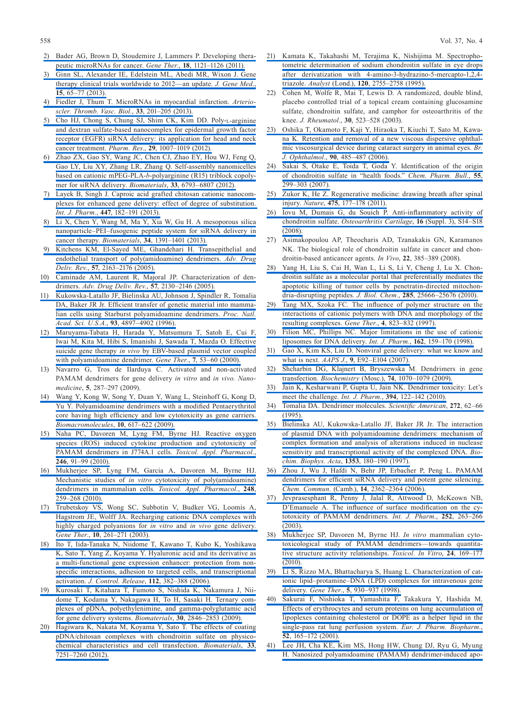- [2\) Bader AG, Brown D, Stoudemire J, Lammers P. Developing thera](http://dx.doi.org/10.1038/gt.2011.79)[peutic microRNAs for cancer.](http://dx.doi.org/10.1038/gt.2011.79) *Gene Ther.*, **18**, 1121–1126 (2011).
- [3\) Ginn SL, Alexander IE, Edelstein ML, Abedi MR, Wixon J. Gene](http://dx.doi.org/10.1002/jgm.2698)  [therapy clinical trials worldwide to 2012—an update.](http://dx.doi.org/10.1002/jgm.2698) *J. Gene Med.*, **15**[, 65–77 \(2013\).](http://dx.doi.org/10.1002/jgm.2698)
- [4\) Fiedler J, Thum T. MicroRNAs in myocardial infarction.](http://dx.doi.org/10.1161/ATVBAHA.112.300137) *Arterio[scler. Thromb. Vasc. Biol.](http://dx.doi.org/10.1161/ATVBAHA.112.300137)*, **33**, 201–205 (2013).
- [5\) Cho HJ, Chong S, Chung SJ, Shim CK, Kim DD. Poly-](http://dx.doi.org/10.1007/s11095-011-0642-z)L-arginine [and dextran sulfate-based nanocomplex for epidermal growth factor](http://dx.doi.org/10.1007/s11095-011-0642-z)  [receptor \(EGFR\) siRNA delivery: its application for head and neck](http://dx.doi.org/10.1007/s11095-011-0642-z)  cancer treatment. *Pharm. Res.*, **29**[, 1007–1019 \(2012\).](http://dx.doi.org/10.1007/s11095-011-0642-z)
- [6\) Zhao ZX, Gao SY, Wang JC, Chen CJ, Zhao EY, Hou WJ, Feng Q,](http://dx.doi.org/10.1016/j.biomaterials.2012.05.067)  [Gao LY, Liu XY, Zhang LR, Zhang Q. Self-assembly nanomicelles](http://dx.doi.org/10.1016/j.biomaterials.2012.05.067)  based on cationic mPEG-PLA-*b*[-polyarginine \(R15\) triblock copoly](http://dx.doi.org/10.1016/j.biomaterials.2012.05.067)[mer for siRNA delivery.](http://dx.doi.org/10.1016/j.biomaterials.2012.05.067) *Biomaterials*, **33**, 6793–6807 (2012).
- [7\) Layek B, Singh J. Caproic acid grafted chitosan cationic nanocom](http://dx.doi.org/10.1016/j.ijpharm.2013.02.052)[plexes for enhanced gene delivery: effect of degree of substitution.](http://dx.doi.org/10.1016/j.ijpharm.2013.02.052)  *Int. J. Pharm.*, **447**[, 182–191 \(2013\).](http://dx.doi.org/10.1016/j.ijpharm.2013.02.052)
- [8\) Li X, Chen Y, Wang M, Ma Y, Xia W, Gu H. A mesoporous silica](http://dx.doi.org/10.1016/j.biomaterials.2012.10.072)  [nanoparticle–PEI–fusogenic peptide system for siRNA delivery in](http://dx.doi.org/10.1016/j.biomaterials.2012.10.072)  cancer therapy. *Biomaterials*, **34**[, 1391–1401 \(2013\).](http://dx.doi.org/10.1016/j.biomaterials.2012.10.072)
- [9\) Kitchens KM, El-Sayed ME, Ghandehari H. Transepithelial and](http://dx.doi.org/10.1016/j.addr.2005.09.013)  [endothelial transport of poly\(amidoamine\) dendrimers.](http://dx.doi.org/10.1016/j.addr.2005.09.013) *Adv. Drug Deliv. Rev.*, **57**[, 2163–2176 \(2005\).](http://dx.doi.org/10.1016/j.addr.2005.09.013)
- [10\) Caminade AM, Laurent R, Majoral JP. Characterization of den](http://dx.doi.org/10.1016/j.addr.2005.09.011)drimers. *[Adv. Drug Deliv. Rev.](http://dx.doi.org/10.1016/j.addr.2005.09.011)*, **57**, 2130–2146 (2005).
- [11\) Kukowska-Latallo JF, Bielinska AU, Johnson J, Spindler R, Tomalia](http://dx.doi.org/10.1073/pnas.93.10.4897)  [DA, Baker JR Jr. Efficient transfer of genetic material into mamma](http://dx.doi.org/10.1073/pnas.93.10.4897)[lian cells using Starburst polyamidoamine dendrimers.](http://dx.doi.org/10.1073/pnas.93.10.4897) *Proc. Natl. Acad. Sci. U.S.A.*, **93**[, 4897–4902 \(1996\).](http://dx.doi.org/10.1073/pnas.93.10.4897)
- [12\) Maruyama-Tabata H, Harada Y, Matsumura T, Satoh E, Cui F,](http://dx.doi.org/10.1038/sj.gt.3301044)  [Iwai M, Kita M, Hibi S, Imanishi J, Sawada T, Mazda O. Effective](http://dx.doi.org/10.1038/sj.gt.3301044)  suicide gene therapy *in vivo* [by EBV-based plasmid vector coupled](http://dx.doi.org/10.1038/sj.gt.3301044)  [with polyamidoamine dendrimer.](http://dx.doi.org/10.1038/sj.gt.3301044) *Gene Ther.*, **7**, 53–60 (2000).
- 13) Navarro G, Tros de Ilarduya C. Activated and non-activated PAMAM dendrimers for gene delivery *in vitro* and *in vivo. Nanomedicine*, **5**, 287–297 (2009).
- [14\) Wang Y, Kong W, Song Y, Duan Y, Wang L, Steinhoff G, Kong D,](http://dx.doi.org/10.1021/bm801333s)  [Yu Y. Polyamidoamine dendrimers with a modified Pentaerythritol](http://dx.doi.org/10.1021/bm801333s)  [core having high efficiency and low cytotoxicity as gene carriers.](http://dx.doi.org/10.1021/bm801333s)  *[Biomacromolecules](http://dx.doi.org/10.1021/bm801333s)*, **10**, 617–622 (2009).
- [15\) Naha PC, Davoren M, Lyng FM, Byrne HJ. Reactive oxygen](http://dx.doi.org/10.1016/j.taap.2010.04.014)  [species \(ROS\) induced cytokine production and cytotoxicity of](http://dx.doi.org/10.1016/j.taap.2010.04.014)  [PAMAM dendrimers in J774A.1 cells.](http://dx.doi.org/10.1016/j.taap.2010.04.014) *Toxicol. Appl. Pharmacol.*, **246**[, 91–99 \(2010\).](http://dx.doi.org/10.1016/j.taap.2010.04.014)
- [16\) Mukherjee SP, Lyng FM, Garcia A, Davoren M, Byrne HJ.](http://dx.doi.org/10.1016/j.taap.2010.08.016)  Mechanistic studies of *in vitro* [cytotoxicity of poly\(amidoamine\)](http://dx.doi.org/10.1016/j.taap.2010.08.016)  [dendrimers in mammalian cells.](http://dx.doi.org/10.1016/j.taap.2010.08.016) *Toxicol. Appl. Pharmacol.*, **248**, [259–268 \(2010\).](http://dx.doi.org/10.1016/j.taap.2010.08.016)
- [17\) Trubetskoy VS, Wong SC, Subbotin V, Budker VG, Loomis A,](http://dx.doi.org/10.1038/sj.gt.3301888)  [Hagstrom JE, Wolff JA. Recharging cationic DNA complexes with](http://dx.doi.org/10.1038/sj.gt.3301888)  [highly charged polyanions for](http://dx.doi.org/10.1038/sj.gt.3301888) *in vitro* and *in vivo* gene delivery. *Gene Ther.*, **10**[, 261–271 \(2003\).](http://dx.doi.org/10.1038/sj.gt.3301888)
- [18\) Ito T, Iida-Tanaka N, Niidome T, Kawano T, Kubo K, Yoshikawa](http://dx.doi.org/10.1016/j.jconrel.2006.03.013)  [K, Sato T, Yang Z, Koyama Y. Hyaluronic acid and its derivative as](http://dx.doi.org/10.1016/j.jconrel.2006.03.013)  [a multi-functional gene expression enhancer: protection from non](http://dx.doi.org/10.1016/j.jconrel.2006.03.013)[specific interactions, adhesion to targeted cells, and transcriptional](http://dx.doi.org/10.1016/j.jconrel.2006.03.013)  activation. *[J. Control. Release](http://dx.doi.org/10.1016/j.jconrel.2006.03.013)*, **112**, 382–388 (2006).
- [19\) Kurosaki T, Kitahara T, Fumoto S, Nishida K, Nakamura J, Nii](http://dx.doi.org/10.1016/j.biomaterials.2009.01.055)[dome T, Kodama Y, Nakagawa H, To H, Sasaki H. Ternary com](http://dx.doi.org/10.1016/j.biomaterials.2009.01.055)[plexes of pDNA, polyethylenimine, and gamma-polyglutamic acid](http://dx.doi.org/10.1016/j.biomaterials.2009.01.055)  [for gene delivery systems.](http://dx.doi.org/10.1016/j.biomaterials.2009.01.055) *Biomaterials*, **30**, 2846–2853 (2009).
- [20\) Hagiwara K, Nakata M, Koyama Y, Sato T. The effects of coating](http://dx.doi.org/10.1016/j.biomaterials.2012.06.040)  [pDNA/chitosan complexes with chondroitin sulfate on physico](http://dx.doi.org/10.1016/j.biomaterials.2012.06.040)[chemical characteristics and cell transfection.](http://dx.doi.org/10.1016/j.biomaterials.2012.06.040) *Biomaterials*, **33**, [7251–7260 \(2012\).](http://dx.doi.org/10.1016/j.biomaterials.2012.06.040)
- [21\) Kamata K, Takahashi M, Terajima K, Nishijima M. Spectropho](http://dx.doi.org/10.1039/an9952002755)[tometric determination of sodium chondroitin sulfate in eye drops](http://dx.doi.org/10.1039/an9952002755)  [after derivatization with 4-amino-3-hydrazino-5-mercapto-1,2,4](http://dx.doi.org/10.1039/an9952002755) triazole. *Analyst* (Lond.), **120**[, 2755–2758 \(1995\).](http://dx.doi.org/10.1039/an9952002755)
- 22) Cohen M, Wolfe R, Mai T, Lewis D. A randomized, double blind, placebo controlled trial of a topical cream containing glucosamine sulfate, chondroitin sulfate, and camphor for osteoarthritis of the knee. *J. Rheumatol.*, **30**, 523–528 (2003).
- [23\) Oshika T, Okamoto F, Kaji Y, Hiraoka T, Kiuchi T, Sato M, Kawa](http://dx.doi.org/10.1136/bjo.2005.085969)[na K. Retention and removal of a new viscous dispersive ophthal](http://dx.doi.org/10.1136/bjo.2005.085969)[mic viscosurgical device during cataract surgery in animal eyes.](http://dx.doi.org/10.1136/bjo.2005.085969) *Br. J. Ophthalmol.*, **90**[, 485–487 \(2006\).](http://dx.doi.org/10.1136/bjo.2005.085969)
- [24\) Sakai S, Otake E, Toida T, Goda Y. Identification of the origin](http://dx.doi.org/10.1248/cpb.55.299)  [of chondroitin sulfate in "health foods."](http://dx.doi.org/10.1248/cpb.55.299) *Chem. Pharm. Bull.*, **55**, [299–303 \(2007\).](http://dx.doi.org/10.1248/cpb.55.299)
- [25\) Zukor K, He Z. Regenerative medicine: drawing breath after spinal](http://dx.doi.org/10.1038/475178a)  injury. *Nature*, **475**[, 177–178 \(2011\).](http://dx.doi.org/10.1038/475178a)
- [26\) Iovu M, Dumais G, du Souich P. Anti-inflammatory activity of](http://dx.doi.org/10.1016/j.joca.2008.06.008)  chondroitin sulfate. *[Osteoarthritis Cartilage](http://dx.doi.org/10.1016/j.joca.2008.06.008)*, **16** (Suppl. 3), S14–S18 [\(2008\).](http://dx.doi.org/10.1016/j.joca.2008.06.008)
- 27) Asimakopoulou AP, Theocharis AD, Tzanakakis GN, Karamanos NK. The biological role of chondroitin sulfate in cancer and chondroitin-based anticancer agents. *In Vivo*, **22**, 385–389 (2008).
- [28\) Yang H, Liu S, Cai H, Wan L, Li S, Li Y, Cheng J, Lu X. Chon](http://dx.doi.org/10.1074/jbc.M109.089417)[droitin sulfate as a molecular portal that preferentially mediates the](http://dx.doi.org/10.1074/jbc.M109.089417)  [apoptotic killing of tumor cells by penetratin-directed mitochon](http://dx.doi.org/10.1074/jbc.M109.089417)[dria-disrupting peptides.](http://dx.doi.org/10.1074/jbc.M109.089417) *J. Biol. Chem.*, **285**, 25666–25676 (2010).
- [29\) Tang MX, Szoka FC. The influence of polymer structure on the](http://dx.doi.org/10.1038/sj.gt.3300454)  [interactions of cationic polymers with DNA and morphology of the](http://dx.doi.org/10.1038/sj.gt.3300454)  [resulting complexes.](http://dx.doi.org/10.1038/sj.gt.3300454) *Gene Ther.*, **4**, 823–832 (1997).
- [30\) Filion MC, Phillips NC. Major limitations in the use of cationic](http://dx.doi.org/10.1016/S0378-5173(97)00423-7)  [liposomes for DNA delivery.](http://dx.doi.org/10.1016/S0378-5173(97)00423-7) *Int. J. Pharm.*, **162**, 159–170 (1998).
- [31\) Gao X, Kim KS, Liu D. Nonviral gene delivery: what we know and](http://dx.doi.org/10.1208/aapsj0901009)  what is next. *AAPS J.*, **9**[, E92–E104 \(2007\).](http://dx.doi.org/10.1208/aapsj0901009)
- [32\) Shcharbin DG, Klajnert B, Bryszewska M. Dendrimers in gene](http://dx.doi.org/10.1134/S0006297909100022)  transfection. *Biochemistry* (Mosc.), **74**[, 1070–1079 \(2009\).](http://dx.doi.org/10.1134/S0006297909100022)
- [33\) Jain K, Kesharwani P, Gupta U, Jain NK. Dendrimer toxicity: Let's](http://dx.doi.org/10.1016/j.ijpharm.2010.04.027)  [meet the challenge.](http://dx.doi.org/10.1016/j.ijpharm.2010.04.027) *Int. J. Pharm.*, **394**, 122–142 (2010).
- [34\) Tomalia DA. Dendrimer molecules.](http://dx.doi.org/10.1038/scientificamerican0595-62) *Scientific American*, **272**, 62–66 [\(1995\).](http://dx.doi.org/10.1038/scientificamerican0595-62)
- [35\) Bielinska AU, Kukowska-Latallo JF, Baker JR Jr. The interaction](http://dx.doi.org/10.1016/S0167-4781(97)00069-9)  [of plasmid DNA with polyamidoamine dendrimers: mechanism of](http://dx.doi.org/10.1016/S0167-4781(97)00069-9)  [complex formation and analysis of alterations induced in nuclease](http://dx.doi.org/10.1016/S0167-4781(97)00069-9)  [sensitivity and transcriptional activity of the complexed DNA.](http://dx.doi.org/10.1016/S0167-4781(97)00069-9) *Bio[chim. Biophys. Acta](http://dx.doi.org/10.1016/S0167-4781(97)00069-9)*, **1353**, 180–190 (1997).
- [36\) Zhou J, Wu J, Hafdi N, Behr JP, Erbacher P, Peng L. PAMAM](http://dx.doi.org/10.1039/b601381c)  [dendrimers for efficient siRNA delivery and potent gene silencing.](http://dx.doi.org/10.1039/b601381c)  *Chem. Commun.* (Camb.), **14**[, 2362–2364 \(2006\).](http://dx.doi.org/10.1039/b601381c)
- [37\) Jevprasesphant R, Penny J, Jalal R, Attwood D, McKeown NB,](http://dx.doi.org/10.1016/S0378-5173(02)00623-3)  [D'Emanuele A. The influence of surface modification on the cy](http://dx.doi.org/10.1016/S0378-5173(02)00623-3)[totoxicity of PAMAM dendrimers.](http://dx.doi.org/10.1016/S0378-5173(02)00623-3) *Int. J. Pharm.*, **252**, 263–266 [\(2003\).](http://dx.doi.org/10.1016/S0378-5173(02)00623-3)
- [38\) Mukherjee SP, Davoren M, Byrne HJ.](http://dx.doi.org/10.1016/j.tiv.2009.09.014) *In vitro* mammalian cyto[toxicological study of PAMAM dendrimers—towards quantita](http://dx.doi.org/10.1016/j.tiv.2009.09.014)[tive structure activity relationships.](http://dx.doi.org/10.1016/j.tiv.2009.09.014) *Toxicol. In Vitro*, **24**, 169–177 [\(2010\).](http://dx.doi.org/10.1016/j.tiv.2009.09.014)
- [39\) Li S, Rizzo MA, Bhattacharya S, Huang L. Characterization of cat](http://dx.doi.org/10.1038/sj.gt.3300683)[ionic lipid–protamine–DNA \(LPD\) complexes for intravenous gene](http://dx.doi.org/10.1038/sj.gt.3300683)  delivery. *Gene Ther.*, **5**[, 930–937 \(1998\).](http://dx.doi.org/10.1038/sj.gt.3300683)
- [40\) Sakurai F, Nishioka T, Yamashita F, Takakura Y, Hashida M.](http://dx.doi.org/10.1016/S0939-6411(01)00165-5)  [Effects of erythrocytes and serum proteins on lung accumulation of](http://dx.doi.org/10.1016/S0939-6411(01)00165-5)  [lipoplexes containing cholesterol or DOPE as a helper lipid in the](http://dx.doi.org/10.1016/S0939-6411(01)00165-5)  [single-pass rat lung perfusion system.](http://dx.doi.org/10.1016/S0939-6411(01)00165-5) *Eur. J. Pharm. Biopharm.*, **52**[, 165–172 \(2001\).](http://dx.doi.org/10.1016/S0939-6411(01)00165-5)
- [41\) Lee JH, Cha KE, Kim MS, Hong HW, Chung DJ, Ryu G, Myung](http://dx.doi.org/10.1016/j.toxlet.2009.07.018)  [H. Nanosized polyamidoamine \(PAMAM\) dendrimer-induced apo](http://dx.doi.org/10.1016/j.toxlet.2009.07.018)-